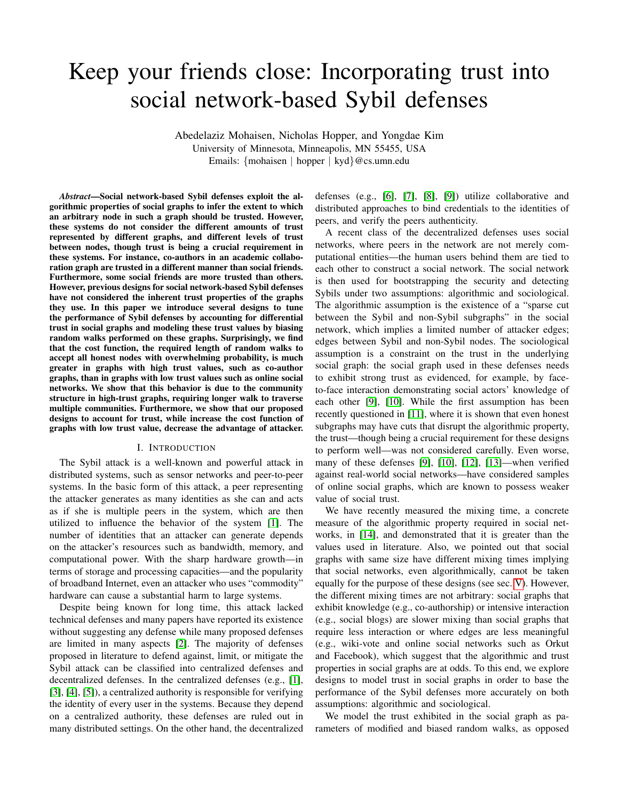# Keep your friends close: Incorporating trust into social network-based Sybil defenses

Abedelaziz Mohaisen, Nicholas Hopper, and Yongdae Kim University of Minnesota, Minneapolis, MN 55455, USA Emails: {mohaisen | hopper | kyd}@cs.umn.edu

*Abstract*—Social network-based Sybil defenses exploit the algorithmic properties of social graphs to infer the extent to which an arbitrary node in such a graph should be trusted. However, these systems do not consider the different amounts of trust represented by different graphs, and different levels of trust between nodes, though trust is being a crucial requirement in these systems. For instance, co-authors in an academic collaboration graph are trusted in a different manner than social friends. Furthermore, some social friends are more trusted than others. However, previous designs for social network-based Sybil defenses have not considered the inherent trust properties of the graphs they use. In this paper we introduce several designs to tune the performance of Sybil defenses by accounting for differential trust in social graphs and modeling these trust values by biasing random walks performed on these graphs. Surprisingly, we find that the cost function, the required length of random walks to accept all honest nodes with overwhelming probability, is much greater in graphs with high trust values, such as co-author graphs, than in graphs with low trust values such as online social networks. We show that this behavior is due to the community structure in high-trust graphs, requiring longer walk to traverse multiple communities. Furthermore, we show that our proposed designs to account for trust, while increase the cost function of graphs with low trust value, decrease the advantage of attacker.

#### I. INTRODUCTION

The Sybil attack is a well-known and powerful attack in distributed systems, such as sensor networks and peer-to-peer systems. In the basic form of this attack, a peer representing the attacker generates as many identities as she can and acts as if she is multiple peers in the system, which are then utilized to influence the behavior of the system [\[1\]](#page-8-0). The number of identities that an attacker can generate depends on the attacker's resources such as bandwidth, memory, and computational power. With the sharp hardware growth—in terms of storage and processing capacities—and the popularity of broadband Internet, even an attacker who uses "commodity" hardware can cause a substantial harm to large systems.

Despite being known for long time, this attack lacked technical defenses and many papers have reported its existence without suggesting any defense while many proposed defenses are limited in many aspects [\[2\]](#page-8-1). The majority of defenses proposed in literature to defend against, limit, or mitigate the Sybil attack can be classified into centralized defenses and decentralized defenses. In the centralized defenses (e.g., [\[1\]](#page-8-0), [\[3\]](#page-8-2), [\[4\]](#page-8-3), [\[5\]](#page-8-4)), a centralized authority is responsible for verifying the identity of every user in the systems. Because they depend on a centralized authority, these defenses are ruled out in many distributed settings. On the other hand, the decentralized defenses (e.g., [\[6\]](#page-8-5), [\[7\]](#page-8-6), [\[8\]](#page-8-7), [\[9\]](#page-8-8)) utilize collaborative and distributed approaches to bind credentials to the identities of peers, and verify the peers authenticity.

A recent class of the decentralized defenses uses social networks, where peers in the network are not merely computational entities—the human users behind them are tied to each other to construct a social network. The social network is then used for bootstrapping the security and detecting Sybils under two assumptions: algorithmic and sociological. The algorithmic assumption is the existence of a "sparse cut between the Sybil and non-Sybil subgraphs" in the social network, which implies a limited number of attacker edges; edges between Sybil and non-Sybil nodes. The sociological assumption is a constraint on the trust in the underlying social graph: the social graph used in these defenses needs to exhibit strong trust as evidenced, for example, by faceto-face interaction demonstrating social actors' knowledge of each other [\[9\]](#page-8-8), [\[10\]](#page-8-9). While the first assumption has been recently questioned in [\[11\]](#page-8-10), where it is shown that even honest subgraphs may have cuts that disrupt the algorithmic property, the trust—though being a crucial requirement for these designs to perform well—was not considered carefully. Even worse, many of these defenses [\[9\]](#page-8-8), [\[10\]](#page-8-9), [\[12\]](#page-8-11), [\[13\]](#page-8-12)—when verified against real-world social networks—have considered samples of online social graphs, which are known to possess weaker value of social trust.

We have recently measured the mixing time, a concrete measure of the algorithmic property required in social networks, in [\[14\]](#page-8-13), and demonstrated that it is greater than the values used in literature. Also, we pointed out that social graphs with same size have different mixing times implying that social networks, even algorithmically, cannot be taken equally for the purpose of these designs (see sec. [V\)](#page-3-0). However, the different mixing times are not arbitrary: social graphs that exhibit knowledge (e.g., co-authorship) or intensive interaction (e.g., social blogs) are slower mixing than social graphs that require less interaction or where edges are less meaningful (e.g., wiki-vote and online social networks such as Orkut and Facebook), which suggest that the algorithmic and trust properties in social graphs are at odds. To this end, we explore designs to model trust in social graphs in order to base the performance of the Sybil defenses more accurately on both assumptions: algorithmic and sociological.

We model the trust exhibited in the social graph as parameters of modified and biased random walks, as opposed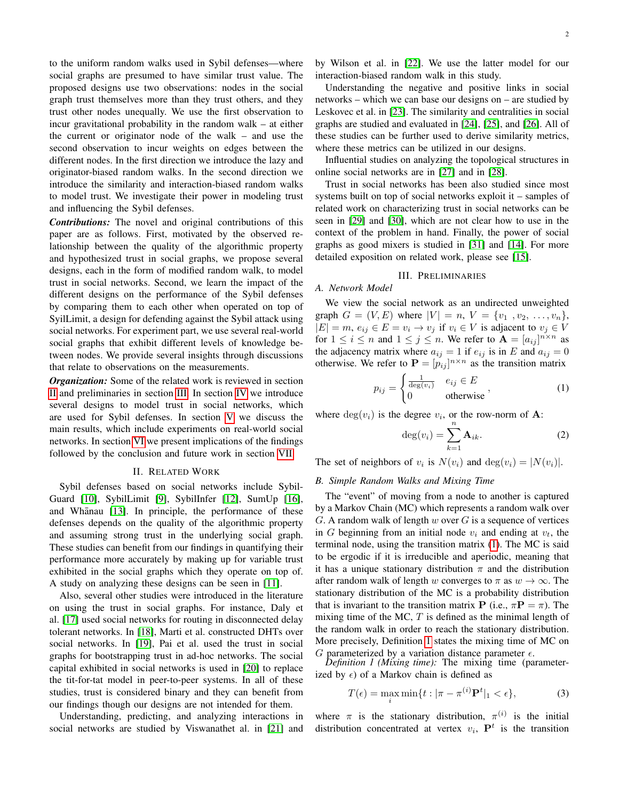to the uniform random walks used in Sybil defenses—where social graphs are presumed to have similar trust value. The proposed designs use two observations: nodes in the social graph trust themselves more than they trust others, and they trust other nodes unequally. We use the first observation to incur gravitational probability in the random walk – at either the current or originator node of the walk – and use the second observation to incur weights on edges between the different nodes. In the first direction we introduce the lazy and originator-biased random walks. In the second direction we introduce the similarity and interaction-biased random walks to model trust. We investigate their power in modeling trust and influencing the Sybil defenses.

*Contributions:* The novel and original contributions of this paper are as follows. First, motivated by the observed relationship between the quality of the algorithmic property and hypothesized trust in social graphs, we propose several designs, each in the form of modified random walk, to model trust in social networks. Second, we learn the impact of the different designs on the performance of the Sybil defenses by comparing them to each other when operated on top of SyilLimit, a design for defending against the Sybil attack using social networks. For experiment part, we use several real-world social graphs that exhibit different levels of knowledge between nodes. We provide several insights through discussions that relate to observations on the measurements.

*Organization:* Some of the related work is reviewed in section [II](#page-1-0) and preliminaries in section [III.](#page-1-1) In section [IV](#page-2-0) we introduce several designs to model trust in social networks, which are used for Sybil defenses. In section [V](#page-3-0) we discuss the main results, which include experiments on real-world social networks. In section [VI](#page-6-0) we present implications of the findings followed by the conclusion and future work in section [VII.](#page-8-14)

#### II. RELATED WORK

<span id="page-1-0"></span>Sybil defenses based on social networks include Sybil-Guard [\[10\]](#page-8-9), SybilLimit [\[9\]](#page-8-8), SybilInfer [\[12\]](#page-8-11), SumUp [\[16\]](#page-8-15), and Whanau  $[13]$ . In principle, the performance of these defenses depends on the quality of the algorithmic property and assuming strong trust in the underlying social graph. These studies can benefit from our findings in quantifying their performance more accurately by making up for variable trust exhibited in the social graphs which they operate on top of. A study on analyzing these designs can be seen in [\[11\]](#page-8-10).

Also, several other studies were introduced in the literature on using the trust in social graphs. For instance, Daly et al. [\[17\]](#page-8-16) used social networks for routing in disconnected delay tolerant networks. In [\[18\]](#page-8-17), Marti et al. constructed DHTs over social networks. In [\[19\]](#page-8-18), Pai et al. used the trust in social graphs for bootstrapping trust in ad-hoc networks. The social capital exhibited in social networks is used in [\[20\]](#page-8-19) to replace the tit-for-tat model in peer-to-peer systems. In all of these studies, trust is considered binary and they can benefit from our findings though our designs are not intended for them.

Understanding, predicting, and analyzing interactions in social networks are studied by Viswanathet al. in [\[21\]](#page-8-20) and by Wilson et al. in [\[22\]](#page-8-21). We use the latter model for our

interaction-biased random walk in this study. Understanding the negative and positive links in social networks – which we can base our designs on – are studied by Leskovec et al. in [\[23\]](#page-8-22). The similarity and centralities in social graphs are studied and evaluated in [\[24\]](#page-8-23), [\[25\]](#page-8-24), and [\[26\]](#page-8-25). All of these studies can be further used to derive similarity metrics, where these metrics can be utilized in our designs.

Influential studies on analyzing the topological structures in online social networks are in [\[27\]](#page-8-26) and in [\[28\]](#page-8-27).

Trust in social networks has been also studied since most systems built on top of social networks exploit it – samples of related work on characterizing trust in social networks can be seen in [\[29\]](#page-8-28) and [\[30\]](#page-8-29), which are not clear how to use in the context of the problem in hand. Finally, the power of social graphs as good mixers is studied in [\[31\]](#page-8-30) and [\[14\]](#page-8-13). For more detailed exposition on related work, please see [\[15\]](#page-8-31).

#### III. PRELIMINARIES

#### <span id="page-1-1"></span>*A. Network Model*

We view the social network as an undirected unweighted graph  $G = (V, E)$  where  $|V| = n$ ,  $V = \{v_1, v_2, \ldots, v_n\}$ ,  $|E| = m$ ,  $e_{ij} \in E = v_i \rightarrow v_j$  if  $v_i \in V$  is adjacent to  $v_j \in V$ for  $1 \leq i \leq n$  and  $1 \leq j \leq n$ . We refer to  $\mathbf{A} = [a_{ij}]^{n \times n}$  as the adjacency matrix where  $a_{ij} = 1$  if  $e_{ij}$  is in E and  $a_{ij} = 0$ otherwise. We refer to  $\mathbf{P} = [p_{ij}]^{n \times n}$  as the transition matrix

<span id="page-1-2"></span>
$$
p_{ij} = \begin{cases} \frac{1}{\deg(v_i)} & e_{ij} \in E \\ 0 & \text{otherwise} \end{cases},
$$
 (1)

where  $deg(v_i)$  is the degree  $v_i$ , or the row-norm of **A**:

<span id="page-1-4"></span>
$$
\deg(v_i) = \sum_{k=1}^n \mathbf{A}_{ik}.
$$
 (2)

The set of neighbors of  $v_i$  is  $N(v_i)$  and  $deg(v_i) = |N(v_i)|$ .

#### *B. Simple Random Walks and Mixing Time*

The "event" of moving from a node to another is captured by a Markov Chain (MC) which represents a random walk over G. A random walk of length w over G is a sequence of vertices in G beginning from an initial node  $v_i$  and ending at  $v_t$ , the terminal node, using the transition matrix [\(1\)](#page-1-2). The MC is said to be ergodic if it is irreducible and aperiodic, meaning that it has a unique stationary distribution  $\pi$  and the distribution after random walk of length w converges to  $\pi$  as  $w \to \infty$ . The stationary distribution of the MC is a probability distribution that is invariant to the transition matrix **P** (i.e.,  $\pi \mathbf{P} = \pi$ ). The mixing time of the MC,  $T$  is defined as the minimal length of the random walk in order to reach the stationary distribution. More precisely, Definition [1](#page-1-3) states the mixing time of MC on G parameterized by a variation distance parameter  $\epsilon$ .

*Definition 1 (Mixing time):* The mixing time (parameterized by  $\epsilon$ ) of a Markov chain is defined as

<span id="page-1-3"></span>
$$
T(\epsilon) = \max_{i} \min\{t : |\pi - \pi^{(i)} \mathbf{P}^t|_1 < \epsilon\},\tag{3}
$$

where  $\pi$  is the stationary distribution,  $\pi^{(i)}$  is the initial distribution concentrated at vertex  $v_i$ ,  $\mathbf{P}^t$  is the transition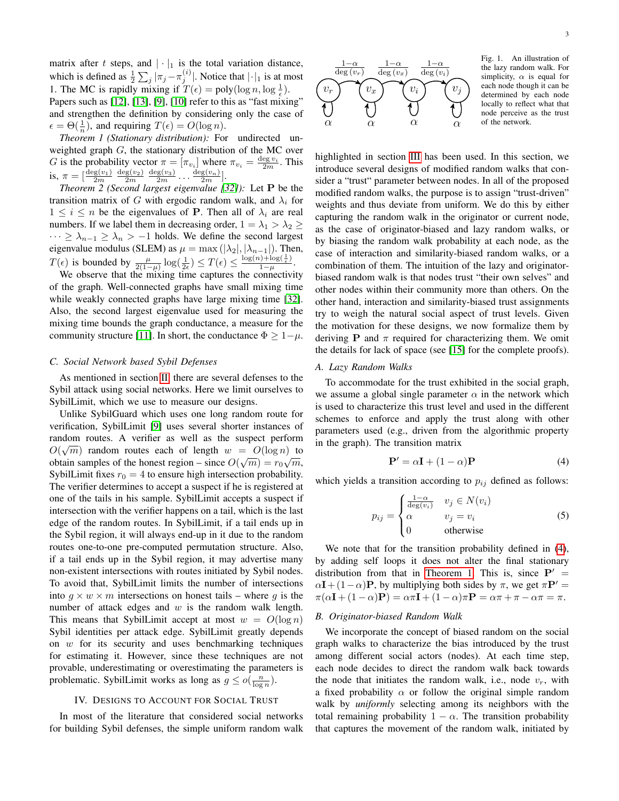matrix after t steps, and  $|\cdot|_1$  is the total variation distance, which is defined as  $\frac{1}{2} \sum_j |\pi_j - \pi_j^{(i)}|$ . Notice that  $|\cdot|_1$  is at most 1. The MC is rapidly mixing if  $T(\epsilon) = \text{poly}(\log n, \log \frac{1}{\epsilon})$ . Papers such as [\[12\]](#page-8-11), [\[13\]](#page-8-12), [\[9\]](#page-8-8), [\[10\]](#page-8-9) refer to this as "fast mixing" and strengthen the definition by considering only the case of  $\epsilon = \Theta(\frac{1}{n})$ , and requiring  $T(\epsilon) = O(\log n)$ .

<span id="page-2-2"></span>*Theorem 1 (Stationary distribution):* For undirected unweighted graph G, the stationary distribution of the MC over G is the probability vector  $\pi = [\pi_{v_i}]$  where  $\pi_{v_i} = \frac{\deg v_i}{2m}$ . This is,  $\pi = \left[\frac{\deg(v_1)}{2m} \frac{\deg(v_2)}{2m} \frac{\deg(v_3)}{2m} \dots \frac{\deg(v_n)}{2m}\right]$ .

*Theorem 2 (Second largest eigenvalue [\[32\]](#page-8-32)):* Let P be the transition matrix of G with ergodic random walk, and  $\lambda_i$  for  $1 \leq i \leq n$  be the eigenvalues of **P**. Then all of  $\lambda_i$  are real numbers. If we label them in decreasing order,  $1 = \lambda_1 > \lambda_2 \geq$  $\cdots \geq \lambda_{n-1} \geq \lambda_n > -1$  holds. We define the second largest eigenvalue modulus (SLEM) as  $\mu = \max (|\lambda_2|, |\lambda_{n-1}|)$ . Then,  $T(\epsilon)$  is bounded by  $\frac{\mu}{2(1-\mu)} \log(\frac{1}{2\epsilon}) \leq T(\epsilon) \leq \frac{\log(n) + \log(\frac{1}{\epsilon})}{1-\mu}$  $\frac{1-\mu}{1-\mu}$ .

We observe that the mixing time captures the connectivity of the graph. Well-connected graphs have small mixing time while weakly connected graphs have large mixing time [\[32\]](#page-8-32). Also, the second largest eigenvalue used for measuring the mixing time bounds the graph conductance, a measure for the community structure [\[11\]](#page-8-10). In short, the conductance  $\Phi \geq 1-\mu$ .

## *C. Social Network based Sybil Defenses*

As mentioned in section [II,](#page-1-0) there are several defenses to the Sybil attack using social networks. Here we limit ourselves to SybilLimit, which we use to measure our designs.

Unlike SybilGuard which uses one long random route for verification, SybilLimit [\[9\]](#page-8-8) uses several shorter instances of random routes. A verifier as well as the suspect perform  $O(\sqrt{m})$  random routes each of length  $w = O(\log n)$  to obtain samples of the honest region – since  $O(\sqrt{m}) = r_0\sqrt{m}$ , SybilLimit fixes  $r_0 = 4$  to ensure high intersection probability. The verifier determines to accept a suspect if he is registered at one of the tails in his sample. SybilLimit accepts a suspect if intersection with the verifier happens on a tail, which is the last edge of the random routes. In SybilLimit, if a tail ends up in the Sybil region, it will always end-up in it due to the random routes one-to-one pre-computed permutation structure. Also, if a tail ends up in the Sybil region, it may advertise many non-existent intersections with routes initiated by Sybil nodes. To avoid that, SybilLimit limits the number of intersections into  $q \times w \times m$  intersections on honest tails – where q is the number of attack edges and  $w$  is the random walk length. This means that SybilLimit accept at most  $w = O(\log n)$ Sybil identities per attack edge. SybilLimit greatly depends on  $w$  for its security and uses benchmarking techniques for estimating it. However, since these techniques are not provable, underestimating or overestimating the parameters is problematic. SybilLimit works as long as  $g \leq o(\frac{n}{\log n})$ .

# IV. DESIGNS TO ACCOUNT FOR SOCIAL TRUST

<span id="page-2-0"></span>In most of the literature that considered social networks for building Sybil defenses, the simple uniform random walk



Fig. 1. An illustration of the lazy random walk. For simplicity,  $\alpha$  is equal for each node though it can be determined by each node locally to reflect what that node perceive as the trust of the network.

interaction-biased random walks that con-<br>introduce several designs of modified random walks that conexplaining the random walk in the originator of current houe, as the case of originator-biased and lazy random walks, or modified random walks, the purpose is to assign "trust-driven" modified random waiks, the purpose is to assign trust-driven<br>weights and thus deviate from uniform. We do this by either ne Tand<br>action case of interaction and similarity-biased random walks, or a by biasing the random walk probability at each node, as the 2 try to weigh the natural social aspect of trust levels. Given highlighted in section [III](#page-1-1) has been used. In this section, we sider a "trust" parameter between nodes. In all of the proposed capturing the random walk in the originator or current node, combination of them. The intuition of the lazy and originatorbiased random walk is that nodes trust "their own selves" and other nodes within their community more than others. On the other hand, interaction and similarity-biased trust assignments the motivation for these designs, we now formalize them by deriving **P** and  $\pi$  required for characterizing them. We omit the details for lack of space (see [\[15\]](#page-8-31) for the complete proofs).

#### *A. Lazy Random Walks*

To accommodate for the trust exhibited in the social graph, we assume a global single parameter  $\alpha$  in the network which is used to characterize this trust level and used in the different schemes to enforce and apply the trust along with other parameters used (e.g., driven from the algorithmic property in the graph). The transition matrix

<span id="page-2-1"></span>
$$
\mathbf{P}' = \alpha \mathbf{I} + (1 - \alpha)\mathbf{P} \tag{4}
$$

which yields a transition according to  $p_{ij}$  defined as follows:

$$
p_{ij} = \begin{cases} \frac{1-\alpha}{\deg(v_i)} & v_j \in N(v_i) \\ \alpha & v_j = v_i \\ 0 & \text{otherwise} \end{cases}
$$
 (5)

We note that for the transition probability defined in [\(4\)](#page-2-1), by adding self loops it does not alter the final stationary distribution from that in [Theorem 1.](#page-2-2) This is, since  $P' =$  $\alpha$ **I** + (1 –  $\alpha$ )**P**, by multiplying both sides by  $\pi$ , we get  $\pi$ **P**' =  $\pi(\alpha \mathbf{I} + (1 - \alpha)\mathbf{P}) = \alpha \pi \mathbf{I} + (1 - \alpha)\pi \mathbf{P} = \alpha \pi + \pi - \alpha \pi = \pi.$ 

#### *B. Originator-biased Random Walk*

We incorporate the concept of biased random on the social graph walks to characterize the bias introduced by the trust among different social actors (nodes). At each time step, each node decides to direct the random walk back towards the node that initiates the random walk, i.e., node  $v_r$ , with a fixed probability  $\alpha$  or follow the original simple random walk by *uniformly* selecting among its neighbors with the total remaining probability  $1 - \alpha$ . The transition probability that captures the movement of the random walk, initiated by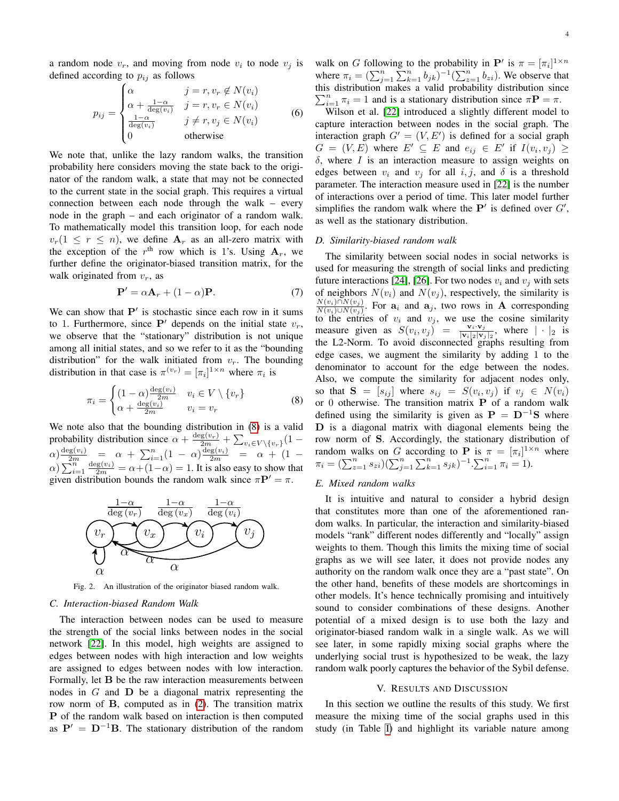a random node  $v_r$ , and moving from node  $v_i$  to node  $v_j$  is defined according to  $p_{ij}$  as follows

$$
p_{ij} = \begin{cases} \alpha & j = r, v_r \notin N(v_i) \\ \alpha + \frac{1 - \alpha}{\deg(v_i)} & j = r, v_r \in N(v_i) \\ \frac{1 - \alpha}{\deg(v_i)} & j \neq r, v_j \in N(v_i) \\ 0 & \text{otherwise} \end{cases}
$$
(6)

We note that, unlike the lazy random walks, the transition we note that, unlike the razy random walks, the transition  $\delta$ , where I is an interaction-<br>probability here considers moving the state back to the origi-<br>edges between  $v_i$  and  $v_j$  for nator of the random walk, a state that may not be connected to the current state in the social graph. This requires a virtual connection between each node through the walk – every node in the graph  $-$  and each originator of a random walk. To mathematically model this transition loop, for each node  $v_r(1 \leq r \leq n)$ , we define  $A_r$  as an all-zero matrix with the exception of the  $r<sup>th</sup>$  row which is 1's. Using  $A_r$ , we further define the originator-biased transition matrix, for the walk originated from  $v_r$ , as

$$
\mathbf{P}' = \alpha \mathbf{A}_r + (1 - \alpha) \mathbf{P}.
$$
 (7)

We can show that  $P'$  is stochastic since each row in it sums to 1. Furthermore, since  $P'$  depends on the initial state  $v_r$ , we observe that the "stationary" distribution is not unique among all initial states, and so we refer to it as the "bounding<br>distribution" for the walk initiated from  $v_{\infty}$ . The bounding distribution" for the walk initiated from  $v_r$ . The bounding distribution in that case is  $\pi^{(v_r)} = [\pi_i]^{1 \times n}$  where  $\pi_i$  is

<span id="page-3-1"></span>
$$
\pi_i = \begin{cases}\n(1 - \alpha) \frac{\deg(v_i)}{2m} & v_i \in V \setminus \{v_r\} \\
\alpha + \frac{\deg(v_i)}{2m} & v_i = v_r\n\end{cases}
$$
\n(8)

We note also that the bounding distribution in  $(8)$  is a valid probability distribution since  $\alpha + \frac{\deg(v_r)}{2m} + \sum_{v_i \in V \setminus \{v_r\}} (1 \alpha$ )  $\frac{\deg(v_i)}{2m} = \alpha + \sum_{i=1}^n (1 - \alpha) \frac{\deg(v_i)}{2m} = \alpha + (1 - \alpha)$  $\alpha$ )  $\sum_{i=1}^{n} \frac{\deg(v_i)}{2m} = \alpha + (1-\alpha) = 1$ . It is also easy to show that  $\pi_i = (\sum_{i=1}^{n} s_{zi})(\sum_{j=1}^{n} \sum_{k=1}^{n} s_{ij})$ given distribution bounds the random walk since  $\pi \mathbf{P}' = \pi$ .



Fig. 2. An illustration of the originator biased random walk.

### *C. Interaction-biased Random Walk*

The interaction between nodes can be used to measure<br>a strength of the social links between nodes in the social Formally, let  $\bf{B}$  be the raw interaction measurements between edges between nodes with high interaction and low weights are assigned to edges between nodes with low interaction. **P** of the random walk based on interaction is then computed<br>as  $P' = D^{-1}B$ . The stationary distribution of the random the strength of the social links between nodes in the social network [\[22\]](#page-8-21). In this model, high weights are assigned to nodes in  $G$  and  $D$  be a diagonal matrix representing the row norm of B, computed as in [\(2\)](#page-1-4). The transition matrix P of the random walk based on interaction is then computed walk on G following to the probability in  $\mathbf{P}'$  is  $\pi = [\pi_i]^{1 \times n}$ where  $\pi_i = (\sum_{j=1}^n \sum_{k=1}^n b_{jk})^{-1} (\sum_{z=1}^n b_{zi})$ . We observe that this distribution makes a valid probability distribution since  $\sum_{i=1}^{n} \pi_i = 1$  and is a stationary distribution since  $\pi \mathbf{P} = \pi$ .

Wilson et al. [\[22\]](#page-8-21) introduced a slightly different model to capture interaction between nodes in the social graph. The interaction graph  $G' = (V, E')$  is defined for a social graph  $G = (V, E)$  where  $E' \subseteq E$  and  $e_{ij} \in E'$  if  $I(v_i, v_j) \ge$  $\delta$ , where  $I$  is an interaction measure to assign weights on edges between  $v_i$  and  $v_j$  for all  $i, j$ , and  $\delta$  is a threshold parameter. The interaction measure used in [\[22\]](#page-8-21) is the number of interactions over a period of time. This later model further simplifies the random walk where the  $P'$  is defined over  $G'$ , as well as the stationary distribution.

#### <span id="page-3-2"></span>*D. Similarity-biased random walk*

Show that P' is stochastic since each row in it sums  $\frac{N(v_i) \cap N(v_j)}{N(v_i) \cup N(v_j)}$ . For  $a_i$  and  $a_j$ , two rows in A correspondence ratio from walk to the entries of  $v_i$  and  $v_j$ , we use the cosine single properties of  $v_i$ The similarity between social nodes in social networks is used for measuring the strength of social links and predicting future interactions [\[24\]](#page-8-23), [\[26\]](#page-8-25). For two nodes  $v_i$  and  $v_j$  with sets of neighbors  $N(v_i)$  and  $N(v_j)$ , respectively, the similarity is  $\frac{N(v_i) \prod N(v_j)}{N(v_i) \cup N(v_j)}$ . For  $\mathbf{a}_i$  and  $\mathbf{a}_j$ , two rows in **A** corresponding to the entries of  $v_i$  and  $v_j$ , we use the cosine similarity measure given as  $S(v_i, v_j) = \frac{\mathbf{v}_i \cdot \mathbf{v}_j}{|\mathbf{v}_i||_2 |\mathbf{v}_j|_2}$ , where  $|\cdot|_2$  is the L2-Norm. To avoid disconnected graphs resulting from edge cases, we augment the similarity by adding 1 to the denominator to account for the edge between the nodes. Also, we compute the similarity for adjacent nodes only, so that  $S = [s_{ij}]$  where  $s_{ij} = S(v_i, v_j)$  if  $v_j \in N(v_i)$ or 0 otherwise. The transition matrix P of a random walk defined using the similarity is given as  $P = D^{-1}S$  where D is a diagonal matrix with diagonal elements being the row norm of S. Accordingly, the stationary distribution of random walks on G according to **P** is  $\pi = [\pi_i]^{1 \times n}$  where  $\pi_i = (\sum_{z=1}^n s_{zi})(\sum_{j=1}^n \sum_{k=1}^n s_{jk})^{-1} \cdot \sum_{i=1}^n \pi_i = 1).$ 

# *E. Mixed random walks*

It is intuitive and natural to consider a hybrid design that constitutes more than one of the aforementioned random walks. In particular, the interaction and similarity-biased models "rank" different nodes differently and "locally" assign weights to them. Though this limits the mixing time of social graphs as we will see later, it does not provide nodes any authority on the random walk once they are a "past state". On the other hand, benefits of these models are shortcomings in other models. It's hence technically promising and intuitively sound to consider combinations of these designs. Another potential of a mixed design is to use both the lazy and originator-biased random walk in a single walk. As we will see later, in some rapidly mixing social graphs where the underlying social trust is hypothesized to be weak, the lazy random walk poorly captures the behavior of the Sybil defense.

#### V. RESULTS AND DISCUSSION

<span id="page-3-0"></span>In this section we outline the results of this study. We first measure the mixing time of the social graphs used in this study (in Table [I\)](#page-4-0) and highlight its variable nature among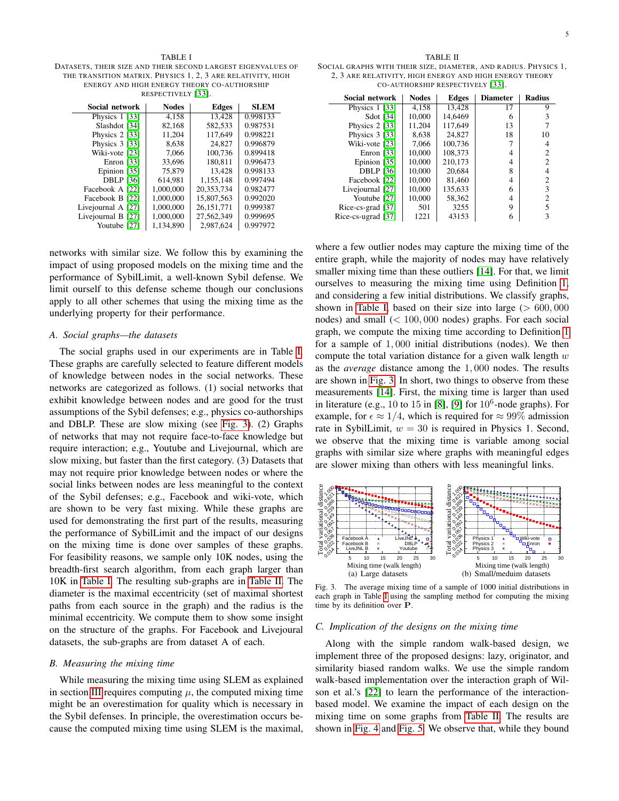#### TABLE I

<span id="page-4-0"></span>DATASETS, THEIR SIZE AND THEIR SECOND LARGEST EIGENVALUES OF THE TRANSITION MATRIX. PHYSICS 1, 2, 3 ARE RELATIVITY, HIGH ENERGY AND HIGH ENERGY THEORY CO-AUTHORSHIP RESPECTIVELY [\[33\]](#page-8-33).

| Social network     | <b>Nodes</b> | <b>Edges</b> | <b>SLEM</b> |
|--------------------|--------------|--------------|-------------|
| Physics 1 [33]     | 4.158        | 13,428       | 0.998133    |
| Slashdot [34]      | 82.168       | 582.533      | 0.987531    |
| Physics 2 [33]     | 11,204       | 117.649      | 0.998221    |
| Physics 3 [33]     | 8.638        | 24,827       | 0.996879    |
| Wiki-vote [23]     | 7.066        | 100,736      | 0.899418    |
| Enron $[33]$       | 33,696       | 180,811      | 0.996473    |
| Epinion [35]       | 75,879       | 13.428       | 0.998133    |
| <b>DBLP</b> [36]   | 614.981      | 1,155,148    | 0.997494    |
| Facebook A [22]    | 1.000.000    | 20.353.734   | 0.982477    |
| Facebook B [22]    | 1,000,000    | 15,807,563   | 0.992020    |
| Livejournal A [27] | 1.000.000    | 26, 151, 771 | 0.999387    |
| Livejournal B [27] | 1.000.000    | 27.562.349   | 0.999695    |
| Youtube [27]       | 1,134,890    | 2.987.624    | 0.997972    |

networks with similar size. We follow this by examining the impact of using proposed models on the mixing time and the performance of SybilLimit, a well-known Sybil defense. We limit ourself to this defense scheme though our conclusions apply to all other schemes that using the mixing time as the underlying property for their performance.

#### *A. Social graphs—the datasets*

The social graphs used in our experiments are in Table [I.](#page-4-0) These graphs are carefully selected to feature different models of knowledge between nodes in the social networks. These networks are categorized as follows. (1) social networks that exhibit knowledge between nodes and are good for the trust assumptions of the Sybil defenses; e.g., physics co-authorships and DBLP. These are slow mixing (see [Fig. 3\)](#page-4-1). (2) Graphs of networks that may not require face-to-face knowledge but require interaction; e.g., Youtube and Livejournal, which are slow mixing, but faster than the first category. (3) Datasets that may not require prior knowledge between nodes or where the social links between nodes are less meaningful to the context of the Sybil defenses; e.g., Facebook and wiki-vote, which are shown to be very fast mixing. While these graphs are used for demonstrating the first part of the results, measuring the performance of SybilLimit and the impact of our designs on the mixing time is done over samples of these graphs. For feasibility reasons, we sample only 10K nodes, using the breadth-first search algorithm, from each graph larger than 10K in [Table I.](#page-4-0) The resulting sub-graphs are in [Table II.](#page-4-2) The diameter is the maximal eccentricity (set of maximal shortest paths from each source in the graph) and the radius is the minimal eccentricity. We compute them to show some insight on the structure of the graphs. For Facebook and Livejoural datasets, the sub-graphs are from dataset A of each.

#### *B. Measuring the mixing time*

While measuring the mixing time using SLEM as explained in section [III](#page-1-1) requires computing  $\mu$ , the computed mixing time might be an overestimation for quality which is necessary in the Sybil defenses. In principle, the overestimation occurs because the computed mixing time using SLEM is the maximal,

<span id="page-4-2"></span>TABLE II SOCIAL GRAPHS WITH THEIR SIZE, DIAMETER, AND RADIUS. PHYSICS 1, 2, 3 ARE RELATIVITY, HIGH ENERGY AND HIGH ENERGY THEORY CO-AUTHORSHIP RESPECTIVELY [\[33\]](#page-8-33).

| Social network     | <b>Nodes</b> | Edges   | <b>Diameter</b> | <b>Radius</b> |
|--------------------|--------------|---------|-----------------|---------------|
| Physics 1 [33]     | 4,158        | 13,428  | 17              | Q             |
| Sdot [34]          | 10,000       | 14.6469 | 6               | 3             |
| Physics $2$ [33]   | 11,204       | 117.649 | 13              |               |
| Physics $3$ [33]   | 8.638        | 24.827  | 18              | 10            |
| Wiki-vote [23]     | 7,066        | 100,736 |                 | 4             |
| Enron $[33]$       | 10,000       | 108,373 | 4               | 2             |
| Epinion [35]       | 10,000       | 210,173 | 4               | 2             |
| <b>DBLP</b> [36]   | 10,000       | 20,684  | 8               | 4             |
| Facebook [22]      | 10,000       | 81,460  | 4               | 2             |
| Livejournal [27]   | 10,000       | 135,633 | 6               | 3             |
| Youtube [27]       | 10,000       | 58,362  | 4               | 2             |
| Rice-cs-grad [37]  | 501          | 3255    | 9               | 5             |
| Rice-cs-ugrad [37] | 1221         | 43153   | 6               | 3             |

where a few outlier nodes may capture the mixing time of the entire graph, while the majority of nodes may have relatively smaller mixing time than these outliers [\[14\]](#page-8-13). For that, we limit ourselves to measuring the mixing time using Definition [1,](#page-1-3) and considering a few initial distributions. We classify graphs, shown in [Table I,](#page-4-0) based on their size into large  $(> 600, 000)$ nodes) and small  $(< 100, 000$  nodes) graphs. For each social graph, we compute the mixing time according to Definition [1](#page-1-3) for a sample of 1, 000 initial distributions (nodes). We then compute the total variation distance for a given walk length  $w$ as the *average* distance among the 1, 000 nodes. The results are shown in [Fig. 3.](#page-4-1) In short, two things to observe from these measurements [\[14\]](#page-8-13). First, the mixing time is larger than used in literature (e.g., 10 to 15 in [\[8\]](#page-8-7), [\[9\]](#page-8-8) for  $10^6$ -node graphs). For example, for  $\epsilon \approx 1/4$ , which is required for  $\approx 99\%$  admission rate in SybilLimit,  $w = 30$  is required in Physics 1. Second, we observe that the mixing time is variable among social graphs with similar size where graphs with meaningful edges are slower mixing than others with less meaningful links.



<span id="page-4-1"></span>Fig. 3. The average mixing time of a sample of 1000 initial distributions in each graph in Table [I](#page-4-0) using the sampling method for computing the mixing time by its definition over P.

#### <span id="page-4-3"></span>*C. Implication of the designs on the mixing time*

Along with the simple random walk-based design, we implement three of the proposed designs: lazy, originator, and similarity biased random walks. We use the simple random walk-based implementation over the interaction graph of Wilson et al.'s [\[22\]](#page-8-21) to learn the performance of the interactionbased model. We examine the impact of each design on the mixing time on some graphs from [Table II.](#page-4-2) The results are shown in [Fig. 4](#page-6-1) and [Fig. 5.](#page-6-2) We observe that, while they bound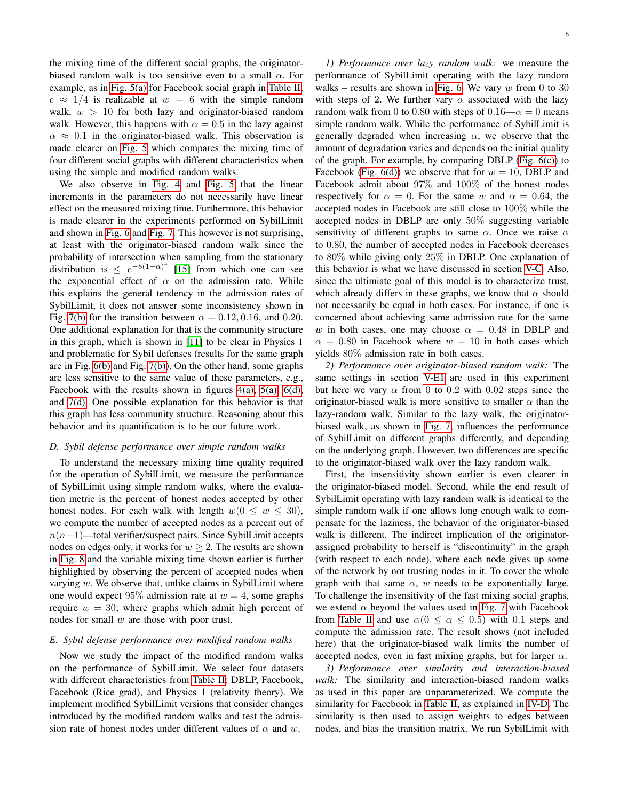the mixing time of the different social graphs, the originatorbiased random walk is too sensitive even to a small  $\alpha$ . For example, as in [Fig. 5\(a\)](#page-6-3) for Facebook social graph in [Table II,](#page-4-2)  $\epsilon \approx 1/4$  is realizable at  $w = 6$  with the simple random walk,  $w > 10$  for both lazy and originator-biased random walk. However, this happens with  $\alpha = 0.5$  in the lazy against  $\alpha \approx 0.1$  in the originator-biased walk. This observation is made clearer on [Fig. 5](#page-6-2) which compares the mixing time of four different social graphs with different characteristics when using the simple and modified random walks.

We also observe in [Fig. 4](#page-6-1) and [Fig. 5](#page-6-2) that the linear increments in the parameters do not necessarily have linear effect on the measured mixing time. Furthermore, this behavior is made clearer in the experiments performed on SybilLimit and shown in [Fig. 6](#page-7-0) and [Fig. 7.](#page-7-1) This however is not surprising, at least with the originator-biased random walk since the probability of intersection when sampling from the stationary distribution is  $\leq e^{-8(1-\alpha)^4}$  [\[15\]](#page-8-31) from which one can see the exponential effect of  $\alpha$  on the admission rate. While this explains the general tendency in the admission rates of SybilLimit, it does not answer some inconsistency shown in Fig. [7\(b\)](#page-7-2) for the transition between  $\alpha = 0.12, 0.16,$  and 0.20. One additional explanation for that is the community structure in this graph, which is shown in [\[11\]](#page-8-10) to be clear in Physics 1 and problematic for Sybil defenses (results for the same graph are in Fig. [6\(b\)](#page-7-3) and Fig. [7\(b\)\)](#page-7-2). On the other hand, some graphs are less sensitive to the same value of these parameters, e.g., Facebook with the results shown in figures  $4(a)$ ,  $5(a)$ ,  $6(d)$ , and [7\(d\).](#page-7-5) One possible explanation for this behavior is that this graph has less community structure. Reasoning about this behavior and its quantification is to be our future work.

# *D. Sybil defense performance over simple random walks*

To understand the necessary mixing time quality required for the operation of SybilLimit, we measure the performance of SybilLimit using simple random walks, where the evaluation metric is the percent of honest nodes accepted by other honest nodes. For each walk with length  $w(0 \leq w \leq 30)$ , we compute the number of accepted nodes as a percent out of  $n(n-1)$ —total verifier/suspect pairs. Since SybilLimit accepts nodes on edges only, it works for  $w \geq 2$ . The results are shown in [Fig. 8](#page-6-5) and the variable mixing time shown earlier is further highlighted by observing the percent of accepted nodes when varying  $w$ . We observe that, unlike claims in SybilLimit where one would expect 95% admission rate at  $w = 4$ , some graphs require  $w = 30$ ; where graphs which admit high percent of nodes for small  $w$  are those with poor trust.

#### *E. Sybil defense performance over modified random walks*

Now we study the impact of the modified random walks on the performance of SybilLimit. We select four datasets with different characteristics from [Table II:](#page-4-2) DBLP, Facebook, Facebook (Rice grad), and Physics 1 (relativity theory). We implement modified SybilLimit versions that consider changes introduced by the modified random walks and test the admission rate of honest nodes under different values of  $\alpha$  and w.

<span id="page-5-0"></span>*1) Performance over lazy random walk:* we measure the performance of SybilLimit operating with the lazy random walks – results are shown in [Fig. 6.](#page-7-0) We vary  $w$  from 0 to 30 with steps of 2. We further vary  $\alpha$  associated with the lazy random walk from 0 to 0.80 with steps of  $0.16 - \alpha = 0$  means simple random walk. While the performance of SybilLimit is generally degraded when increasing  $\alpha$ , we observe that the amount of degradation varies and depends on the initial quality of the graph. For example, by comparing DBLP [\(Fig. 6\(c\)\)](#page-7-6) to Facebook [\(Fig. 6\(d\)\)](#page-7-4) we observe that for  $w = 10$ , DBLP and Facebook admit about 97% and 100% of the honest nodes respectively for  $\alpha = 0$ . For the same w and  $\alpha = 0.64$ , the accepted nodes in Facebook are still close to 100% while the accepted nodes in DBLP are only 50% suggesting variable sensitivity of different graphs to same  $\alpha$ . Once we raise  $\alpha$ to 0.80, the number of accepted nodes in Facebook decreases to 80% while giving only 25% in DBLP. One explanation of this behavior is what we have discussed in section [V-C.](#page-4-3) Also, since the ultimiate goal of this model is to characterize trust, which already differs in these graphs, we know that  $\alpha$  should not necessarily be equal in both cases. For instance, if one is concerned about achieving same admission rate for the same w in both cases, one may choose  $\alpha = 0.48$  in DBLP and  $\alpha = 0.80$  in Facebook where  $w = 10$  in both cases which yields 80% admission rate in both cases.

*2) Performance over originator-biased random walk:* The same settings in section [V-E1](#page-5-0) are used in this experiment but here we vary  $\alpha$  from 0 to 0.2 with 0.02 steps since the originator-biased walk is more sensitive to smaller  $\alpha$  than the lazy-random walk. Similar to the lazy walk, the originatorbiased walk, as shown in [Fig. 7,](#page-7-1) influences the performance of SybilLimit on different graphs differently, and depending on the underlying graph. However, two differences are specific to the originator-biased walk over the lazy random walk.

First, the insensitivity shown earlier is even clearer in the originator-biased model. Second, while the end result of SybilLimit operating with lazy random walk is identical to the simple random walk if one allows long enough walk to compensate for the laziness, the behavior of the originator-biased walk is different. The indirect implication of the originatorassigned probability to herself is "discontinuity" in the graph (with respect to each node), where each node gives up some of the network by not trusting nodes in it. To cover the whole graph with that same  $\alpha$ , w needs to be exponentially large. To challenge the insensitivity of the fast mixing social graphs, we extend  $\alpha$  beyond the values used in [Fig. 7](#page-7-1) with Facebook from [Table II](#page-4-2) and use  $\alpha(0 \le \alpha \le 0.5)$  with 0.1 steps and compute the admission rate. The result shows (not included here) that the originator-biased walk limits the number of accepted nodes, even in fast mixing graphs, but for larger  $\alpha$ .

*3) Performance over similarity and interaction-biased walk:* The similarity and interaction-biased random walks as used in this paper are unparameterized. We compute the similarity for Facebook in [Table II,](#page-4-2) as explained in [IV-D.](#page-3-2) The similarity is then used to assign weights to edges between nodes, and bias the transition matrix. We run SybilLimit with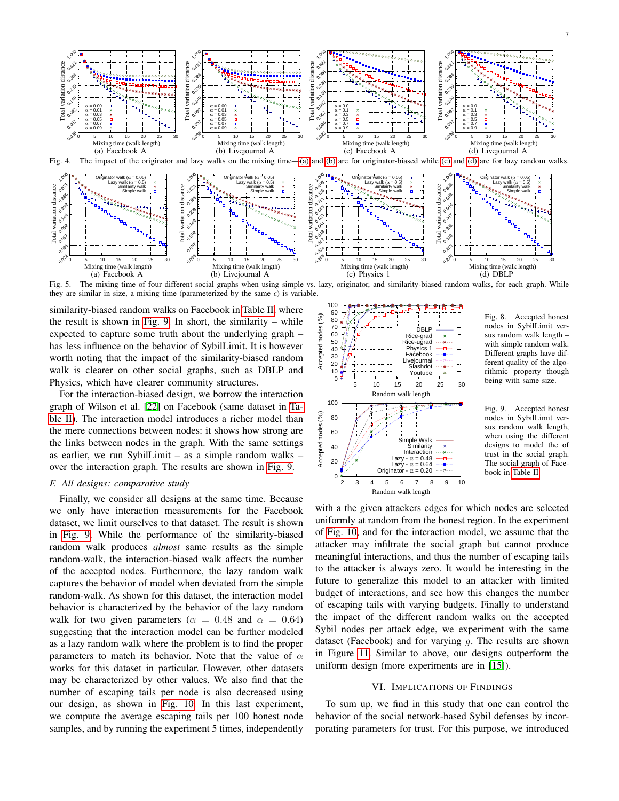<span id="page-6-4"></span>

(a) Facebook A (b) Livejournal A (c) Physics 1 (d) DBLP Fig. 5. The mixing time of four different social graphs when using simple vs. lazy, originator, and similarity-biased random walks, for each graph. While they are similar in size, a mixing time (parameterized by the same  $\epsilon$ ) is variable.

<span id="page-6-7"></span>0.386 )<br>b **0.467** 0.513 otal var<br>0.6%<br>2.9%

similarity-biased random walks on Facebook in [Table II,](#page-4-2) where the result is shown in [Fig. 9.](#page-6-9) In short, the similarity – while expected to capture some truth about the underlying graph – has less influence on the behavior of SybilLimit. It is however worth noting that the impact of the similarity-biased random walk is clearer on other social graphs, such as DBLP and Physics, which have clearer community structures.

<span id="page-6-6"></span> $\mathcal{S}^{\mathcal{S}^{\mathcal{S}}}$ 0.067 <u>त</u><br>ट<sub>ु</sub>ळू

0 5 10 15 20 25 30

Mixing time (walk length)

For the interaction-biased design, we borrow the interaction graph of Wilson et al. [\[22\]](#page-8-21) on Facebook (same dataset in [Ta](#page-4-2)[ble II\)](#page-4-2). The interaction model introduces a richer model than the mere connections between nodes: it shows how strong are the links between nodes in the graph. With the same settings as earlier, we run SybilLimit – as a simple random walks – over the interaction graph. The results are shown in [Fig. 9.](#page-6-9)

# *F. All designs: comparative study*

0 5 10 15 20 25 30

<span id="page-6-2"></span>Mixing time (walk length)

<span id="page-6-3"></span><span id="page-6-1"></span>0.022 0.036 nd o<sup>o</sup>

Finally, we consider all designs at the same time. Because we only have interaction measurements for the Facebook dataset, we limit ourselves to that dataset. The result is shown in [Fig. 9.](#page-6-9) While the performance of the similarity-biased random walk produces *almost* same results as the simple random-walk, the interaction-biased walk affects the number of the accepted nodes. Furthermore, the lazy random walk captures the behavior of model when deviated from the simple random-walk. As shown for this dataset, the interaction model behavior is characterized by the behavior of the lazy random walk for two given parameters ( $\alpha = 0.48$  and  $\alpha = 0.64$ ) suggesting that the interaction model can be further modeled as a lazy random walk where the problem is to find the proper parameters to match its behavior. Note that the value of  $\alpha$ works for this dataset in particular. However, other datasets may be characterized by other values. We also find that the number of escaping tails per node is also decreased using our design, as shown in [Fig. 10.](#page-7-7) In this last experiment, we compute the average escaping tails per 100 honest node samples, and by running the experiment 5 times, independently



0 5 10 15 20 25 30

Mixing time (walk length)

<span id="page-6-5"></span>

0 5 10 15 20 25 30

Mixing time (walk length)

<span id="page-6-9"></span>Fig. 9. Accepted honest nodes in SybilLimit versus random walk length, when using the different designs to model the of trust in the social graph. The social graph of Facebook in [Table II.](#page-4-2)

with a the given attackers edges for which nodes are selected uniformly at random from the honest region. In the experiment of [Fig. 10,](#page-7-7) and for the interaction model, we assume that the attacker may infiltrate the social graph but cannot produce meaningful interactions, and thus the number of escaping tails to the attacker is always zero. It would be interesting in the future to generalize this model to an attacker with limited budget of interactions, and see how this changes the number of escaping tails with varying budgets. Finally to understand the impact of the different random walks on the accepted Sybil nodes per attack edge, we experiment with the same dataset (Facebook) and for varying  $g$ . The results are shown in Figure [11.](#page-7-8) Similar to above, our designs outperform the uniform design (more experiments are in [\[15\]](#page-8-31)).

**0.218** 0.263 0.319

<span id="page-6-8"></span>otal

# VI. IMPLICATIONS OF FINDINGS

<span id="page-6-0"></span>To sum up, we find in this study that one can control the behavior of the social network-based Sybil defenses by incorporating parameters for trust. For this purpose, we introduced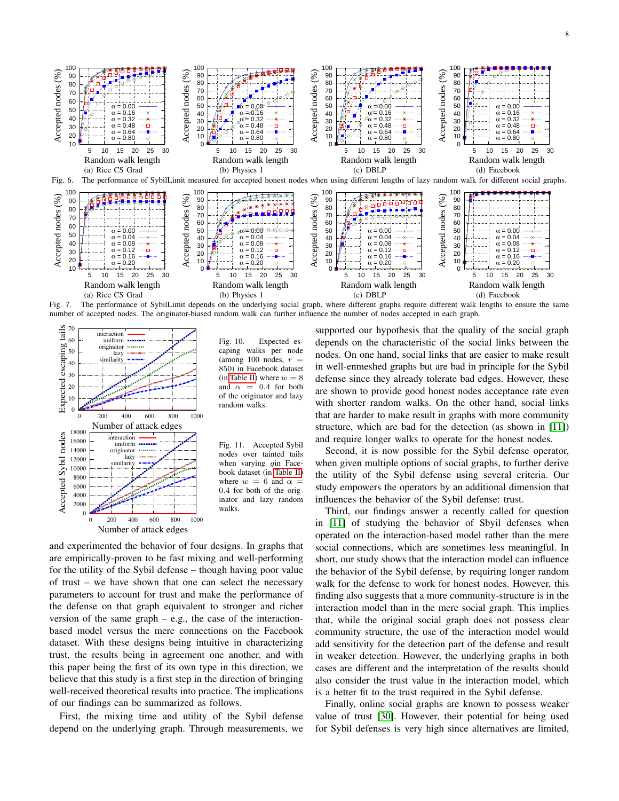<span id="page-7-3"></span><span id="page-7-0"></span>

<span id="page-7-1"></span>Fig. 7. The performance of SybilLimit depends on the underlying social graph, where different graphs require different walk lengths to ensure the same number of accepted nodes. The originator-biased random walk can further influence the number of nodes accepted in each graph.



<span id="page-7-7"></span><span id="page-7-2"></span>Fig. 10. Expected escaping walks per node (among 100 nodes,  $r =$ 850) in Facebook dataset (in [Table II\)](#page-4-2) where  $w = 8$ and  $\alpha = 0.4$  for both of the originator and lazy

<span id="page-7-8"></span>Fig. 11. Accepted Sybil nodes over tainted tails when varying gin Facebook dataset (in [Table II\)](#page-4-2) where  $w = 6$  and  $\alpha =$ 0.4 for both of the originator and lazy random

and experimented the behavior of four designs. In graphs that are empirically-proven to be fast mixing and well-performing for the utility of the Sybil defense – though having poor value of trust – we have shown that one can select the necessary parameters to account for trust and make the performance of the defense on that graph equivalent to stronger and richer version of the same graph  $-$  e.g., the case of the interactionbased model versus the mere connections on the Facebook dataset. With these designs being intuitive in characterizing trust, the results being in agreement one another, and with this paper being the first of its own type in this direction, we believe that this study is a first step in the direction of bringing well-received theoretical results into practice. The implications of our findings can be summarized as follows.

First, the mixing time and utility of the Sybil defense depend on the underlying graph. Through measurements, we

<span id="page-7-6"></span><span id="page-7-5"></span><span id="page-7-4"></span>supported our hypothesis that the quality of the social graph depends on the characteristic of the social links between the nodes. On one hand, social links that are easier to make result in well-enmeshed graphs but are bad in principle for the Sybil defense since they already tolerate bad edges. However, these are shown to provide good honest nodes acceptance rate even with shorter random walks. On the other hand, social links that are harder to make result in graphs with more community structure, which are bad for the detection (as shown in [\[11\]](#page-8-10)) and require longer walks to operate for the honest nodes.

Second, it is now possible for the Sybil defense operator, when given multiple options of social graphs, to further derive the utility of the Sybil defense using several criteria. Our study empowers the operators by an additional dimension that influences the behavior of the Sybil defense: trust.

Third, our findings answer a recently called for question in [\[11\]](#page-8-10) of studying the behavior of Sbyil defenses when operated on the interaction-based model rather than the mere social connections, which are sometimes less meaningful. In short, our study shows that the interaction model can influence the behavior of the Sybil defense, by requiring longer random walk for the defense to work for honest nodes. However, this finding also suggests that a more community-structure is in the interaction model than in the mere social graph. This implies that, while the original social graph does not possess clear community structure, the use of the interaction model would add sensitivity for the detection part of the defense and result in weaker detection. However, the underlying graphs in both cases are different and the interpretation of the results should also consider the trust value in the interaction model, which is a better fit to the trust required in the Sybil defense.

Finally, online social graphs are known to possess weaker value of trust [\[30\]](#page-8-29). However, their potential for being used for Sybil defenses is very high since alternatives are limited,